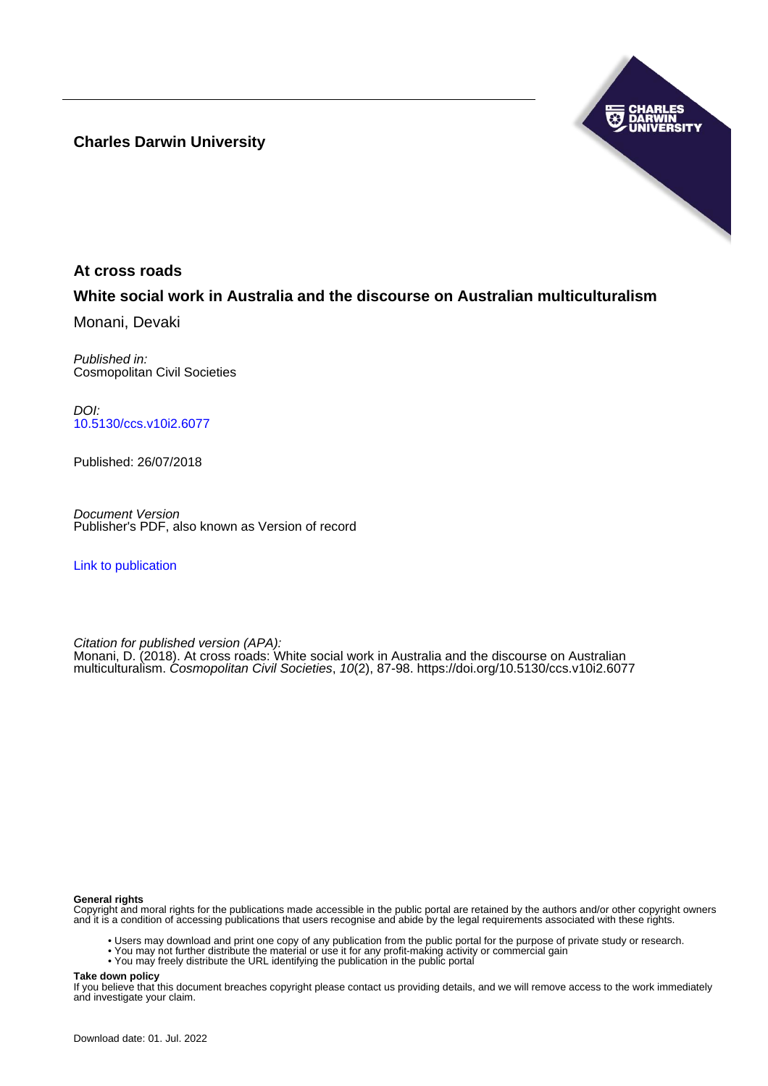**Charles Darwin University**



# **At cross roads**

# **White social work in Australia and the discourse on Australian multiculturalism**

Monani, Devaki

Published in: Cosmopolitan Civil Societies

DOI: [10.5130/ccs.v10i2.6077](https://doi.org/10.5130/ccs.v10i2.6077)

Published: 26/07/2018

Document Version Publisher's PDF, also known as Version of record

[Link to publication](https://researchers.cdu.edu.au/en/publications/f4d24282-a1e3-4007-bedf-55b3a59df569)

Citation for published version (APA): Monani, D. (2018). At cross roads: White social work in Australia and the discourse on Australian multiculturalism. Cosmopolitan Civil Societies, 10(2), 87-98.<https://doi.org/10.5130/ccs.v10i2.6077>

#### **General rights**

Copyright and moral rights for the publications made accessible in the public portal are retained by the authors and/or other copyright owners and it is a condition of accessing publications that users recognise and abide by the legal requirements associated with these rights.

- Users may download and print one copy of any publication from the public portal for the purpose of private study or research.
- You may not further distribute the material or use it for any profit-making activity or commercial gain
- You may freely distribute the URL identifying the publication in the public portal

**Take down policy**

If you believe that this document breaches copyright please contact us providing details, and we will remove access to the work immediately and investigate your claim.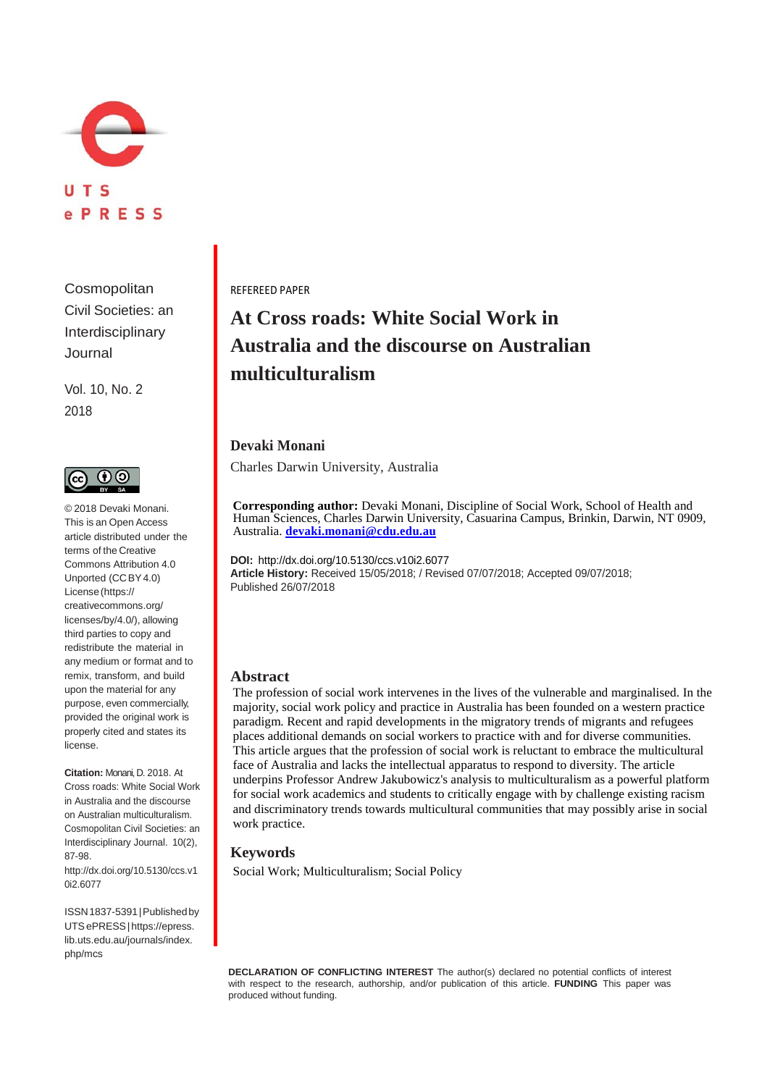

**Cosmopolitan** Civil Societies: an Interdisciplinary Journal

Vol. 10, No. 2 2018



© 2018 Devaki Monani. This is an Open Access article distributed under the terms of the Creative Commons Attribution 4.0 Unported (CCBY4.0) License(https:// creativecommons.org/ licenses/by/4.0/), allowing third parties to copy and redistribute the material in any medium or format and to remix, transform, and build upon the material for any purpose, even commercially, provided the original work is properly cited and states its license.

**Citation:** Monani, D. 2018. At Cross roads: White Social Work in Australia and the discourse on Australian multiculturalism. Cosmopolitan Civil Societies: an Interdisciplinary Journal. 10(2), 87-98. http://dx.doi.org/10.5130/ccs.v1 0i2.6077

ISSN1837-5391|Publishedby UTSePRESS|https://epress. lib.uts.edu.au/journals/index. php/mcs

REFEREED PAPER

# **At Cross roads: White Social Work in Australia and the discourse on Australian multiculturalism**

# **Devaki Monani**

Charles Darwin University, Australia

**Corresponding author:** Devaki Monani, Discipline of Social Work, School of Health and Human Sciences, Charles Darwin University, Casuarina Campus, Brinkin, Darwin, NT 0909, Australia. **[devaki.monani@cdu.edu.au](mailto:devaki.monani@cdu.edu.au)**

**DOI:** http://dx.doi.org/10.5130/ccs.v10i2.6077 **Article History:** Received 15/05/2018; / Revised 07/07/2018; Accepted 09/07/2018; Published 26/07/2018

### **Abstract**

The profession of social work intervenes in the lives of the vulnerable and marginalised. In the majority, social work policy and practice in Australia has been founded on a western practice paradigm. Recent and rapid developments in the migratory trends of migrants and refugees places additional demands on social workers to practice with and for diverse communities. This article argues that the profession of social work is reluctant to embrace the multicultural face of Australia and lacks the intellectual apparatus to respond to diversity. The article underpins Professor Andrew Jakubowicz's analysis to multiculturalism as a powerful platform for social work academics and students to critically engage with by challenge existing racism and discriminatory trends towards multicultural communities that may possibly arise in social work practice.

#### **Keywords**

Social Work; Multiculturalism; Social Policy

**DECLARATION OF CONFLICTING INTEREST** The author(s) declared no potential conflicts of interest with respect to the research, authorship, and/or publication of this article. **FUNDING** This paper was produced without funding.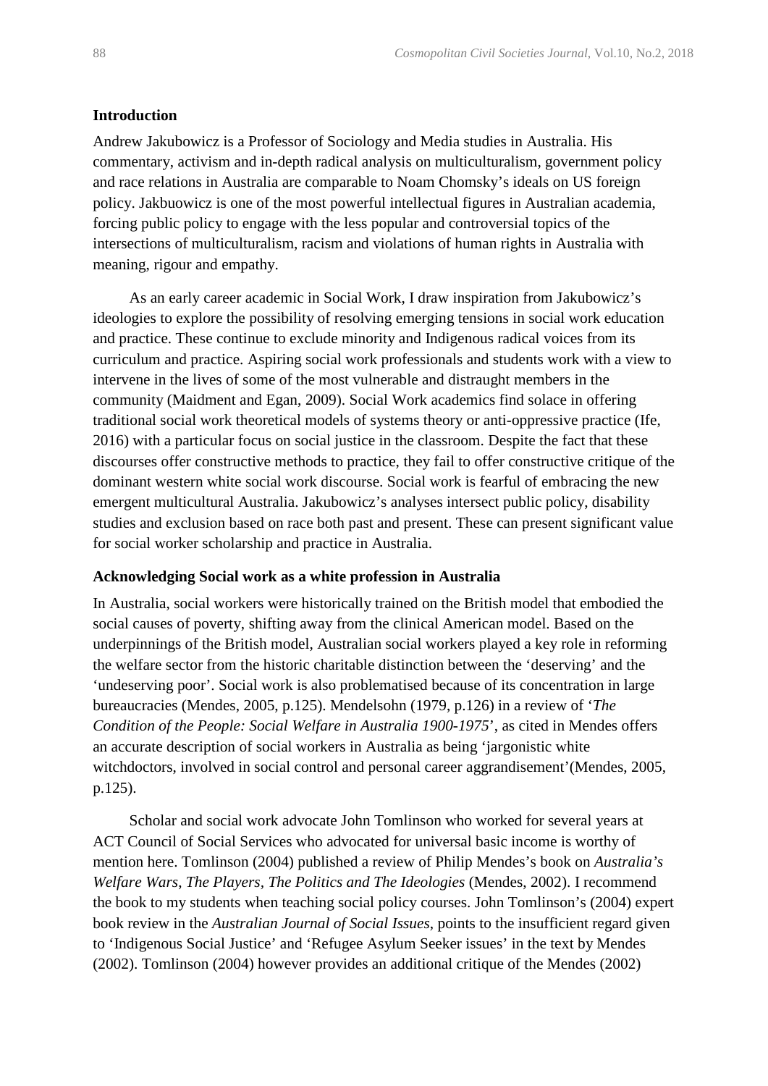# **Introduction**

Andrew Jakubowicz is a Professor of Sociology and Media studies in Australia. His commentary, activism and in-depth radical analysis on multiculturalism, government policy and race relations in Australia are comparable to Noam Chomsky's ideals on US foreign policy. Jakbuowicz is one of the most powerful intellectual figures in Australian academia, forcing public policy to engage with the less popular and controversial topics of the intersections of multiculturalism, racism and violations of human rights in Australia with meaning, rigour and empathy.

As an early career academic in Social Work, I draw inspiration from Jakubowicz's ideologies to explore the possibility of resolving emerging tensions in social work education and practice. These continue to exclude minority and Indigenous radical voices from its curriculum and practice. Aspiring social work professionals and students work with a view to intervene in the lives of some of the most vulnerable and distraught members in the community (Maidment and Egan, 2009). Social Work academics find solace in offering traditional social work theoretical models of systems theory or anti-oppressive practice (Ife, 2016) with a particular focus on social justice in the classroom. Despite the fact that these discourses offer constructive methods to practice, they fail to offer constructive critique of the dominant western white social work discourse. Social work is fearful of embracing the new emergent multicultural Australia. Jakubowicz's analyses intersect public policy, disability studies and exclusion based on race both past and present. These can present significant value for social worker scholarship and practice in Australia.

#### **Acknowledging Social work as a white profession in Australia**

In Australia, social workers were historically trained on the British model that embodied the social causes of poverty, shifting away from the clinical American model. Based on the underpinnings of the British model, Australian social workers played a key role in reforming the welfare sector from the historic charitable distinction between the 'deserving' and the 'undeserving poor'. Social work is also problematised because of its concentration in large bureaucracies (Mendes, 2005, p.125). Mendelsohn (1979, p.126) in a review of '*The Condition of the People: Social Welfare in Australia 1900-1975*', as cited in Mendes offers an accurate description of social workers in Australia as being 'jargonistic white witchdoctors, involved in social control and personal career aggrandisement'(Mendes, 2005, p.125).

Scholar and social work advocate John Tomlinson who worked for several years at ACT Council of Social Services who advocated for universal basic income is worthy of mention here. Tomlinson (2004) published a review of Philip Mendes's book on *Australia's Welfare Wars*, *The Players, The Politics and The Ideologies* (Mendes, 2002). I recommend the book to my students when teaching social policy courses. John Tomlinson's (2004) expert book review in the *Australian Journal of Social Issues*, points to the insufficient regard given to 'Indigenous Social Justice' and 'Refugee Asylum Seeker issues' in the text by Mendes (2002). Tomlinson (2004) however provides an additional critique of the Mendes (2002)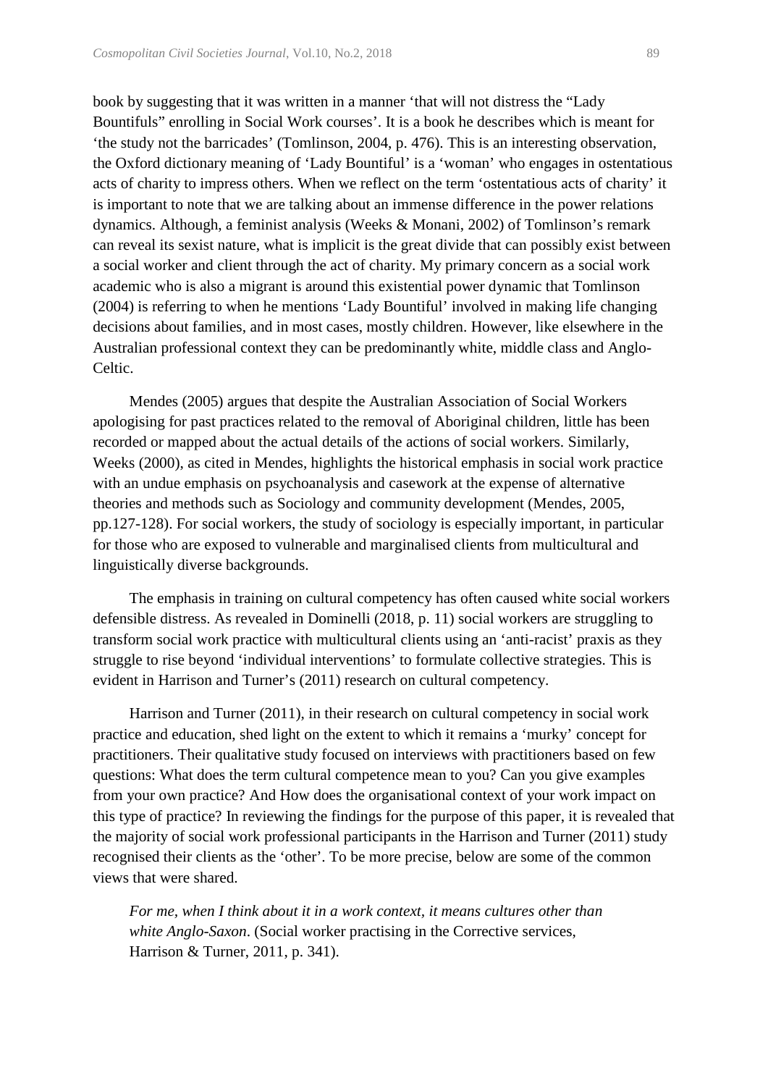book by suggesting that it was written in a manner 'that will not distress the "Lady Bountifuls" enrolling in Social Work courses'. It is a book he describes which is meant for 'the study not the barricades' (Tomlinson, 2004, p. 476). This is an interesting observation, the Oxford dictionary meaning of 'Lady Bountiful' is a 'woman' who engages in ostentatious acts of charity to impress others. When we reflect on the term 'ostentatious acts of charity' it is important to note that we are talking about an immense difference in the power relations dynamics. Although, a feminist analysis (Weeks & Monani, 2002) of Tomlinson's remark can reveal its sexist nature, what is implicit is the great divide that can possibly exist between a social worker and client through the act of charity. My primary concern as a social work academic who is also a migrant is around this existential power dynamic that Tomlinson (2004) is referring to when he mentions 'Lady Bountiful' involved in making life changing decisions about families, and in most cases, mostly children. However, like elsewhere in the Australian professional context they can be predominantly white, middle class and Anglo-Celtic.

Mendes (2005) argues that despite the Australian Association of Social Workers apologising for past practices related to the removal of Aboriginal children, little has been recorded or mapped about the actual details of the actions of social workers. Similarly, Weeks (2000), as cited in Mendes, highlights the historical emphasis in social work practice with an undue emphasis on psychoanalysis and casework at the expense of alternative theories and methods such as Sociology and community development (Mendes, 2005, pp.127-128). For social workers, the study of sociology is especially important, in particular for those who are exposed to vulnerable and marginalised clients from multicultural and linguistically diverse backgrounds.

The emphasis in training on cultural competency has often caused white social workers defensible distress. As revealed in Dominelli (2018, p. 11) social workers are struggling to transform social work practice with multicultural clients using an 'anti-racist' praxis as they struggle to rise beyond 'individual interventions' to formulate collective strategies. This is evident in Harrison and Turner's (2011) research on cultural competency.

Harrison and Turner (2011), in their research on cultural competency in social work practice and education, shed light on the extent to which it remains a 'murky' concept for practitioners. Their qualitative study focused on interviews with practitioners based on few questions: What does the term cultural competence mean to you? Can you give examples from your own practice? And How does the organisational context of your work impact on this type of practice? In reviewing the findings for the purpose of this paper, it is revealed that the majority of social work professional participants in the Harrison and Turner (2011) study recognised their clients as the 'other'. To be more precise, below are some of the common views that were shared.

*For me, when I think about it in a work context, it means cultures other than white Anglo-Saxon*. (Social worker practising in the Corrective services, Harrison & Turner, 2011, p. 341).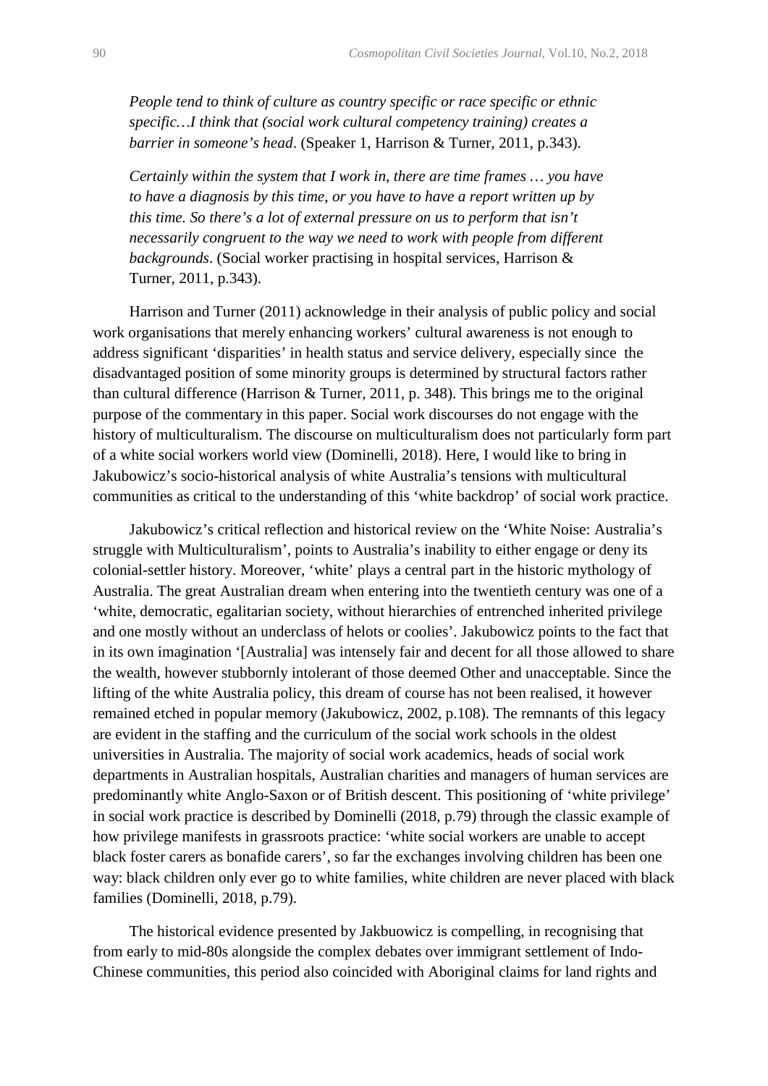*People tend to think of culture as country specific or race specific or ethnic specific…I think that (social work cultural competency training) creates a barrier in someone's head*. (Speaker 1, Harrison & Turner, 2011, p.343).

*Certainly within the system that I work in, there are time frames … you have to have a diagnosis by this time, or you have to have a report written up by this time. So there's a lot of external pressure on us to perform that isn't necessarily congruent to the way we need to work with people from different backgrounds*. (Social worker practising in hospital services, Harrison & Turner, 2011, p.343).

Harrison and Turner (2011) acknowledge in their analysis of public policy and social work organisations that merely enhancing workers' cultural awareness is not enough to address significant 'disparities' in health status and service delivery, especially since the disadvantaged position of some minority groups is determined by structural factors rather than cultural difference (Harrison & Turner, 2011, p. 348). This brings me to the original purpose of the commentary in this paper. Social work discourses do not engage with the history of multiculturalism. The discourse on multiculturalism does not particularly form part of a white social workers world view (Dominelli, 2018). Here, I would like to bring in Jakubowicz's socio-historical analysis of white Australia's tensions with multicultural communities as critical to the understanding of this 'white backdrop' of social work practice.

Jakubowicz's critical reflection and historical review on the 'White Noise: Australia's struggle with Multiculturalism', points to Australia's inability to either engage or deny its colonial-settler history. Moreover, 'white' plays a central part in the historic mythology of Australia. The great Australian dream when entering into the twentieth century was one of a 'white, democratic, egalitarian society, without hierarchies of entrenched inherited privilege and one mostly without an underclass of helots or coolies'. Jakubowicz points to the fact that in its own imagination '[Australia] was intensely fair and decent for all those allowed to share the wealth, however stubbornly intolerant of those deemed Other and unacceptable. Since the lifting of the white Australia policy, this dream of course has not been realised, it however remained etched in popular memory (Jakubowicz, 2002, p.108). The remnants of this legacy are evident in the staffing and the curriculum of the social work schools in the oldest universities in Australia. The majority of social work academics, heads of social work departments in Australian hospitals, Australian charities and managers of human services are predominantly white Anglo-Saxon or of British descent. This positioning of 'white privilege' in social work practice is described by Dominelli (2018, p.79) through the classic example of how privilege manifests in grassroots practice: 'white social workers are unable to accept black foster carers as bonafide carers', so far the exchanges involving children has been one way: black children only ever go to white families, white children are never placed with black families (Dominelli, 2018, p.79).

The historical evidence presented by Jakbuowicz is compelling, in recognising that from early to mid-80s alongside the complex debates over immigrant settlement of Indo-Chinese communities, this period also coincided with Aboriginal claims for land rights and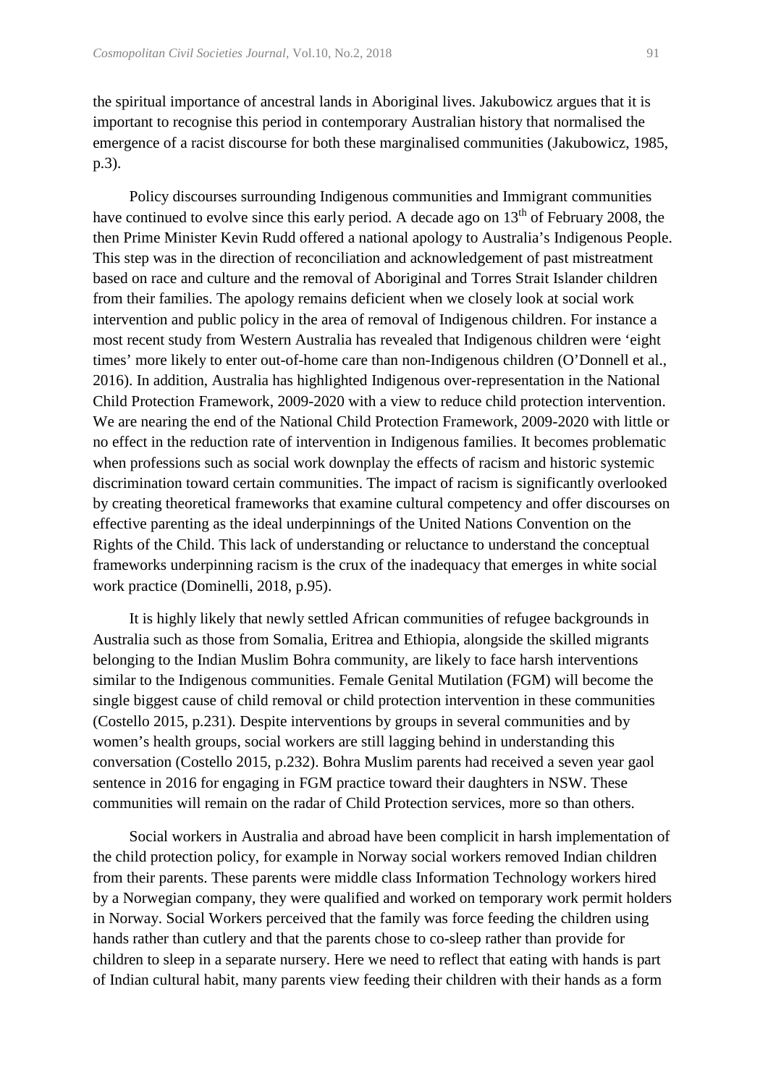the spiritual importance of ancestral lands in Aboriginal lives. Jakubowicz argues that it is important to recognise this period in contemporary Australian history that normalised the emergence of a racist discourse for both these marginalised communities (Jakubowicz, 1985, p.3).

Policy discourses surrounding Indigenous communities and Immigrant communities have continued to evolve since this early period. A decade ago on 13<sup>th</sup> of February 2008, the then Prime Minister Kevin Rudd offered a national apology to Australia's Indigenous People. This step was in the direction of reconciliation and acknowledgement of past mistreatment based on race and culture and the removal of Aboriginal and Torres Strait Islander children from their families. The apology remains deficient when we closely look at social work intervention and public policy in the area of removal of Indigenous children. For instance a most recent study from Western Australia has revealed that Indigenous children were 'eight times' more likely to enter out-of-home care than non-Indigenous children (O'Donnell et al., 2016). In addition, Australia has highlighted Indigenous over-representation in the National Child Protection Framework, 2009-2020 with a view to reduce child protection intervention. We are nearing the end of the National Child Protection Framework, 2009-2020 with little or no effect in the reduction rate of intervention in Indigenous families. It becomes problematic when professions such as social work downplay the effects of racism and historic systemic discrimination toward certain communities. The impact of racism is significantly overlooked by creating theoretical frameworks that examine cultural competency and offer discourses on effective parenting as the ideal underpinnings of the United Nations Convention on the Rights of the Child. This lack of understanding or reluctance to understand the conceptual frameworks underpinning racism is the crux of the inadequacy that emerges in white social work practice (Dominelli, 2018, p.95).

It is highly likely that newly settled African communities of refugee backgrounds in Australia such as those from Somalia, Eritrea and Ethiopia, alongside the skilled migrants belonging to the Indian Muslim Bohra community, are likely to face harsh interventions similar to the Indigenous communities. Female Genital Mutilation (FGM) will become the single biggest cause of child removal or child protection intervention in these communities (Costello 2015, p.231). Despite interventions by groups in several communities and by women's health groups, social workers are still lagging behind in understanding this conversation (Costello 2015, p.232). Bohra Muslim parents had received a seven year gaol sentence in 2016 for engaging in FGM practice toward their daughters in NSW. These communities will remain on the radar of Child Protection services, more so than others.

Social workers in Australia and abroad have been complicit in harsh implementation of the child protection policy, for example in Norway social workers removed Indian children from their parents. These parents were middle class Information Technology workers hired by a Norwegian company, they were qualified and worked on temporary work permit holders in Norway. Social Workers perceived that the family was force feeding the children using hands rather than cutlery and that the parents chose to co-sleep rather than provide for children to sleep in a separate nursery. Here we need to reflect that eating with hands is part of Indian cultural habit, many parents view feeding their children with their hands as a form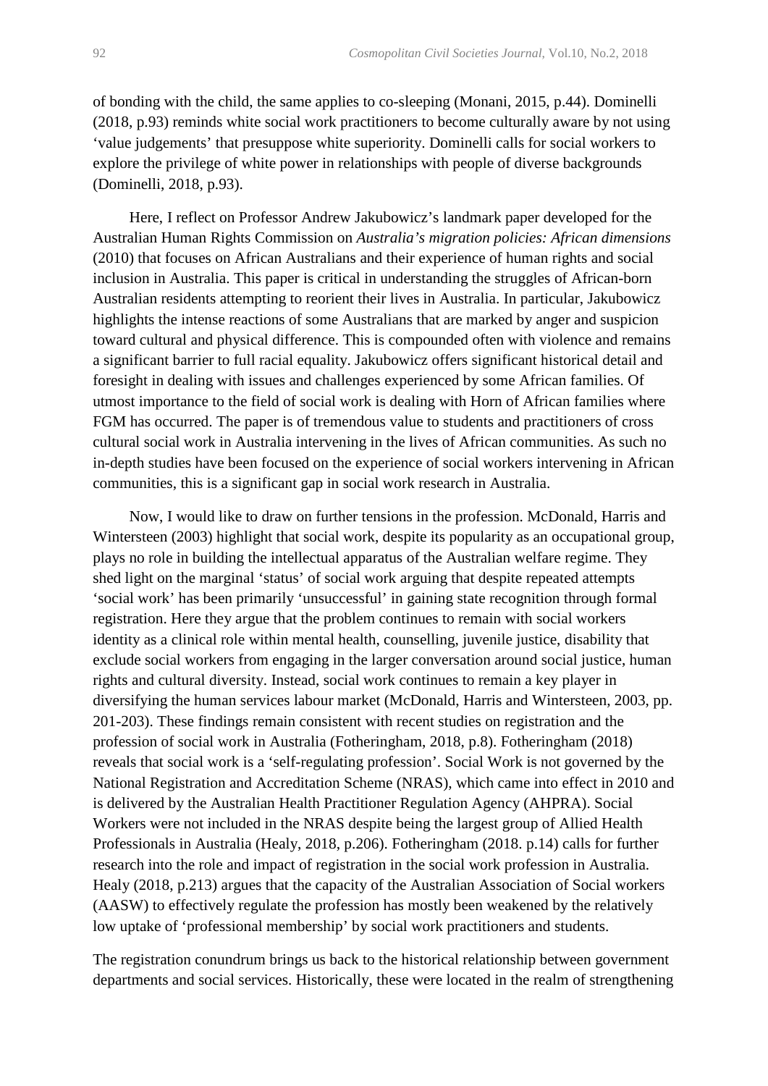of bonding with the child, the same applies to co-sleeping (Monani, 2015, p.44). Dominelli (2018, p.93) reminds white social work practitioners to become culturally aware by not using 'value judgements' that presuppose white superiority. Dominelli calls for social workers to explore the privilege of white power in relationships with people of diverse backgrounds (Dominelli, 2018, p.93).

Here, I reflect on Professor Andrew Jakubowicz's landmark paper developed for the Australian Human Rights Commission on *Australia's migration policies: African dimensions* (2010) that focuses on African Australians and their experience of human rights and social inclusion in Australia. This paper is critical in understanding the struggles of African-born Australian residents attempting to reorient their lives in Australia. In particular, Jakubowicz highlights the intense reactions of some Australians that are marked by anger and suspicion toward cultural and physical difference. This is compounded often with violence and remains a significant barrier to full racial equality. Jakubowicz offers significant historical detail and foresight in dealing with issues and challenges experienced by some African families. Of utmost importance to the field of social work is dealing with Horn of African families where FGM has occurred. The paper is of tremendous value to students and practitioners of cross cultural social work in Australia intervening in the lives of African communities. As such no in-depth studies have been focused on the experience of social workers intervening in African communities, this is a significant gap in social work research in Australia.

Now, I would like to draw on further tensions in the profession. McDonald, Harris and Wintersteen (2003) highlight that social work, despite its popularity as an occupational group, plays no role in building the intellectual apparatus of the Australian welfare regime. They shed light on the marginal 'status' of social work arguing that despite repeated attempts 'social work' has been primarily 'unsuccessful' in gaining state recognition through formal registration. Here they argue that the problem continues to remain with social workers identity as a clinical role within mental health, counselling, juvenile justice, disability that exclude social workers from engaging in the larger conversation around social justice, human rights and cultural diversity. Instead, social work continues to remain a key player in diversifying the human services labour market (McDonald, Harris and Wintersteen, 2003, pp. 201-203). These findings remain consistent with recent studies on registration and the profession of social work in Australia (Fotheringham, 2018, p.8). Fotheringham (2018) reveals that social work is a 'self-regulating profession'. Social Work is not governed by the National Registration and Accreditation Scheme (NRAS), which came into effect in 2010 and is delivered by the Australian Health Practitioner Regulation Agency (AHPRA). Social Workers were not included in the NRAS despite being the largest group of Allied Health Professionals in Australia (Healy, 2018, p.206). Fotheringham (2018. p.14) calls for further research into the role and impact of registration in the social work profession in Australia. Healy (2018, p.213) argues that the capacity of the Australian Association of Social workers (AASW) to effectively regulate the profession has mostly been weakened by the relatively low uptake of 'professional membership' by social work practitioners and students.

The registration conundrum brings us back to the historical relationship between government departments and social services. Historically, these were located in the realm of strengthening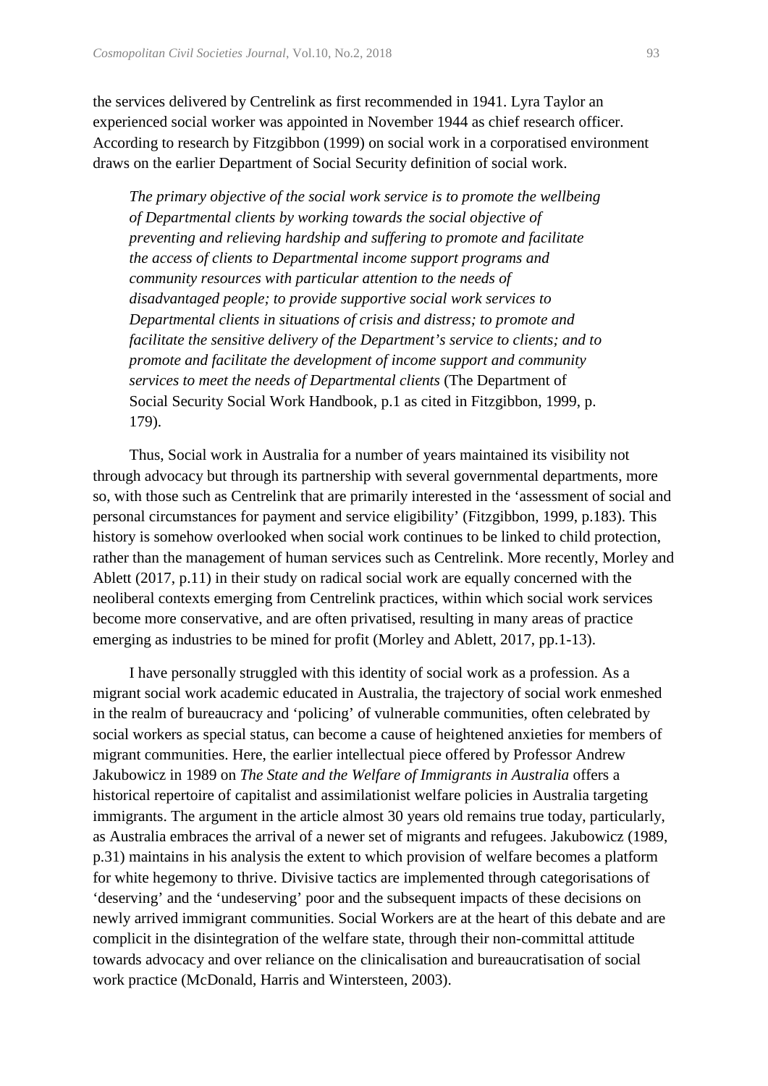the services delivered by Centrelink as first recommended in 1941. Lyra Taylor an experienced social worker was appointed in November 1944 as chief research officer. According to research by Fitzgibbon (1999) on social work in a corporatised environment draws on the earlier Department of Social Security definition of social work.

*The primary objective of the social work service is to promote the wellbeing of Departmental clients by working towards the social objective of preventing and relieving hardship and suffering to promote and facilitate the access of clients to Departmental income support programs and community resources with particular attention to the needs of disadvantaged people; to provide supportive social work services to Departmental clients in situations of crisis and distress; to promote and facilitate the sensitive delivery of the Department's service to clients; and to promote and facilitate the development of income support and community services to meet the needs of Departmental clients* (The Department of Social Security Social Work Handbook, p.1 as cited in Fitzgibbon, 1999, p. 179).

Thus, Social work in Australia for a number of years maintained its visibility not through advocacy but through its partnership with several governmental departments, more so, with those such as Centrelink that are primarily interested in the 'assessment of social and personal circumstances for payment and service eligibility' (Fitzgibbon, 1999, p.183). This history is somehow overlooked when social work continues to be linked to child protection, rather than the management of human services such as Centrelink. More recently, Morley and Ablett (2017, p.11) in their study on radical social work are equally concerned with the neoliberal contexts emerging from Centrelink practices, within which social work services become more conservative, and are often privatised, resulting in many areas of practice emerging as industries to be mined for profit (Morley and Ablett, 2017, pp.1-13).

I have personally struggled with this identity of social work as a profession. As a migrant social work academic educated in Australia, the trajectory of social work enmeshed in the realm of bureaucracy and 'policing' of vulnerable communities, often celebrated by social workers as special status, can become a cause of heightened anxieties for members of migrant communities. Here, the earlier intellectual piece offered by Professor Andrew Jakubowicz in 1989 on *The State and the Welfare of Immigrants in Australia* offers a historical repertoire of capitalist and assimilationist welfare policies in Australia targeting immigrants. The argument in the article almost 30 years old remains true today, particularly, as Australia embraces the arrival of a newer set of migrants and refugees. Jakubowicz (1989, p.31) maintains in his analysis the extent to which provision of welfare becomes a platform for white hegemony to thrive. Divisive tactics are implemented through categorisations of 'deserving' and the 'undeserving' poor and the subsequent impacts of these decisions on newly arrived immigrant communities. Social Workers are at the heart of this debate and are complicit in the disintegration of the welfare state, through their non-committal attitude towards advocacy and over reliance on the clinicalisation and bureaucratisation of social work practice (McDonald, Harris and Wintersteen, 2003).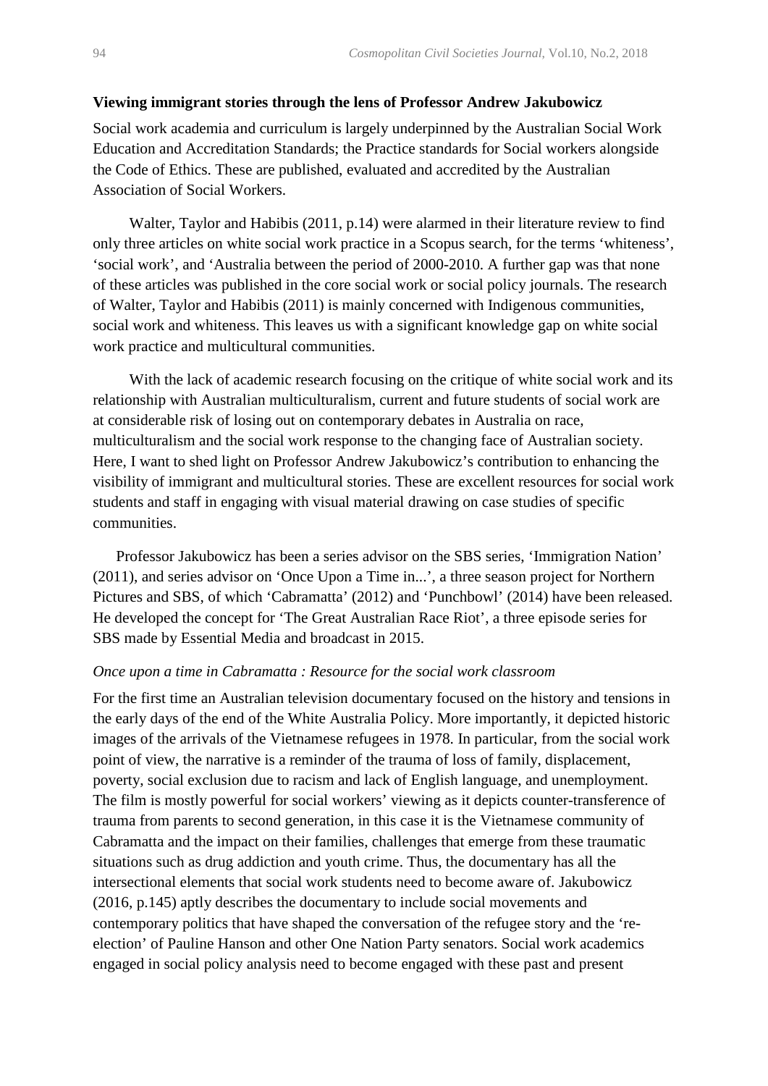### **Viewing immigrant stories through the lens of Professor Andrew Jakubowicz**

Social work academia and curriculum is largely underpinned by the Australian Social Work Education and Accreditation Standards; the Practice standards for Social workers alongside the Code of Ethics. These are published, evaluated and accredited by the Australian Association of Social Workers.

Walter, Taylor and Habibis (2011, p.14) were alarmed in their literature review to find only three articles on white social work practice in a Scopus search, for the terms 'whiteness', 'social work', and 'Australia between the period of 2000-2010. A further gap was that none of these articles was published in the core social work or social policy journals. The research of Walter, Taylor and Habibis (2011) is mainly concerned with Indigenous communities, social work and whiteness. This leaves us with a significant knowledge gap on white social work practice and multicultural communities.

With the lack of academic research focusing on the critique of white social work and its relationship with Australian multiculturalism, current and future students of social work are at considerable risk of losing out on contemporary debates in Australia on race, multiculturalism and the social work response to the changing face of Australian society. Here, I want to shed light on Professor Andrew Jakubowicz's contribution to enhancing the visibility of immigrant and multicultural stories. These are excellent resources for social work students and staff in engaging with visual material drawing on case studies of specific communities.

Professor Jakubowicz has been a series advisor on the SBS series, 'Immigration Nation' (2011), and series advisor on 'Once Upon a Time in...', a three season project for Northern Pictures and SBS, of which 'Cabramatta' (2012) and 'Punchbowl' (2014) have been released. He developed the concept for 'The Great Australian Race Riot', a three episode series for SBS made by Essential Media and broadcast in 2015.

### *Once upon a time in Cabramatta : Resource for the social work classroom*

For the first time an Australian television documentary focused on the history and tensions in the early days of the end of the White Australia Policy. More importantly, it depicted historic images of the arrivals of the Vietnamese refugees in 1978. In particular, from the social work point of view, the narrative is a reminder of the trauma of loss of family, displacement, poverty, social exclusion due to racism and lack of English language, and unemployment. The film is mostly powerful for social workers' viewing as it depicts counter-transference of trauma from parents to second generation, in this case it is the Vietnamese community of Cabramatta and the impact on their families, challenges that emerge from these traumatic situations such as drug addiction and youth crime. Thus, the documentary has all the intersectional elements that social work students need to become aware of. Jakubowicz (2016, p.145) aptly describes the documentary to include social movements and contemporary politics that have shaped the conversation of the refugee story and the 'reelection' of Pauline Hanson and other One Nation Party senators. Social work academics engaged in social policy analysis need to become engaged with these past and present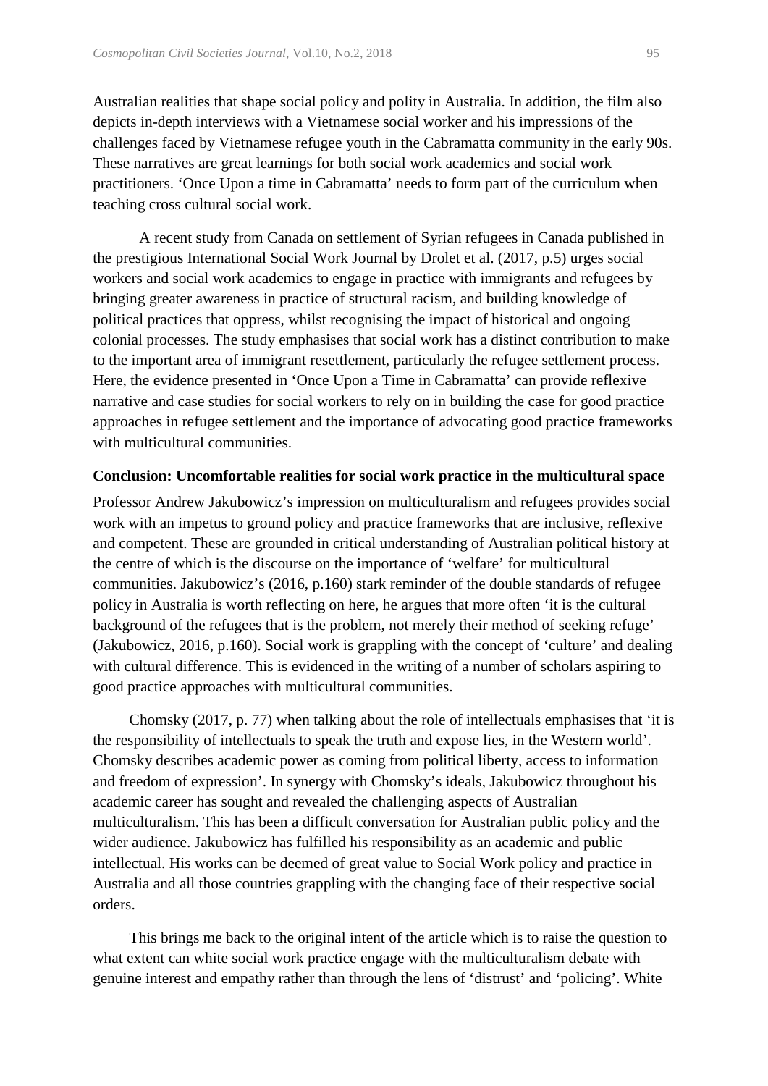Australian realities that shape social policy and polity in Australia. In addition, the film also depicts in-depth interviews with a Vietnamese social worker and his impressions of the challenges faced by Vietnamese refugee youth in the Cabramatta community in the early 90s. These narratives are great learnings for both social work academics and social work practitioners. 'Once Upon a time in Cabramatta' needs to form part of the curriculum when teaching cross cultural social work.

A recent study from Canada on settlement of Syrian refugees in Canada published in the prestigious International Social Work Journal by Drolet et al. (2017, p.5) urges social workers and social work academics to engage in practice with immigrants and refugees by bringing greater awareness in practice of structural racism, and building knowledge of political practices that oppress, whilst recognising the impact of historical and ongoing colonial processes. The study emphasises that social work has a distinct contribution to make to the important area of immigrant resettlement, particularly the refugee settlement process. Here, the evidence presented in 'Once Upon a Time in Cabramatta' can provide reflexive narrative and case studies for social workers to rely on in building the case for good practice approaches in refugee settlement and the importance of advocating good practice frameworks with multicultural communities.

#### **Conclusion: Uncomfortable realities for social work practice in the multicultural space**

Professor Andrew Jakubowicz's impression on multiculturalism and refugees provides social work with an impetus to ground policy and practice frameworks that are inclusive, reflexive and competent. These are grounded in critical understanding of Australian political history at the centre of which is the discourse on the importance of 'welfare' for multicultural communities. Jakubowicz's (2016, p.160) stark reminder of the double standards of refugee policy in Australia is worth reflecting on here, he argues that more often 'it is the cultural background of the refugees that is the problem, not merely their method of seeking refuge' (Jakubowicz, 2016, p.160). Social work is grappling with the concept of 'culture' and dealing with cultural difference. This is evidenced in the writing of a number of scholars aspiring to good practice approaches with multicultural communities.

Chomsky (2017, p. 77) when talking about the role of intellectuals emphasises that 'it is the responsibility of intellectuals to speak the truth and expose lies, in the Western world'. Chomsky describes academic power as coming from political liberty, access to information and freedom of expression'. In synergy with Chomsky's ideals, Jakubowicz throughout his academic career has sought and revealed the challenging aspects of Australian multiculturalism. This has been a difficult conversation for Australian public policy and the wider audience. Jakubowicz has fulfilled his responsibility as an academic and public intellectual. His works can be deemed of great value to Social Work policy and practice in Australia and all those countries grappling with the changing face of their respective social orders.

This brings me back to the original intent of the article which is to raise the question to what extent can white social work practice engage with the multiculturalism debate with genuine interest and empathy rather than through the lens of 'distrust' and 'policing'. White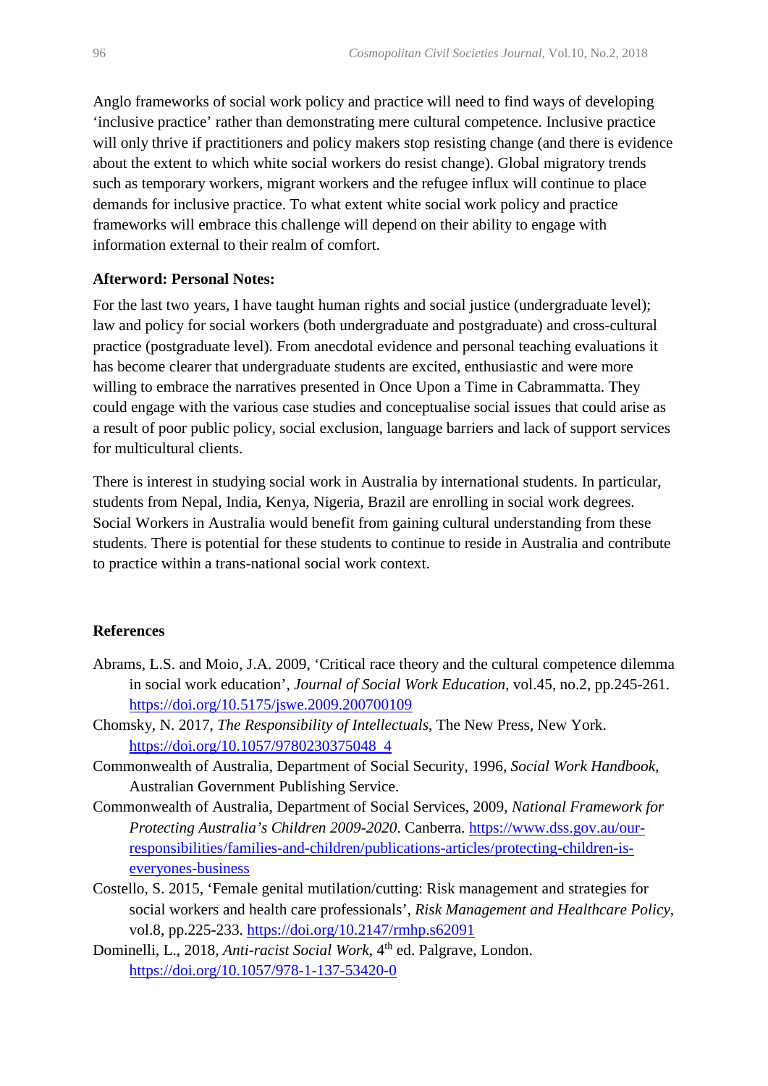Anglo frameworks of social work policy and practice will need to find ways of developing 'inclusive practice' rather than demonstrating mere cultural competence. Inclusive practice will only thrive if practitioners and policy makers stop resisting change (and there is evidence about the extent to which white social workers do resist change). Global migratory trends such as temporary workers, migrant workers and the refugee influx will continue to place demands for inclusive practice. To what extent white social work policy and practice frameworks will embrace this challenge will depend on their ability to engage with information external to their realm of comfort.

# **Afterword: Personal Notes:**

For the last two years, I have taught human rights and social justice (undergraduate level); law and policy for social workers (both undergraduate and postgraduate) and cross-cultural practice (postgraduate level). From anecdotal evidence and personal teaching evaluations it has become clearer that undergraduate students are excited, enthusiastic and were more willing to embrace the narratives presented in Once Upon a Time in Cabrammatta. They could engage with the various case studies and conceptualise social issues that could arise as a result of poor public policy, social exclusion, language barriers and lack of support services for multicultural clients.

There is interest in studying social work in Australia by international students. In particular, students from Nepal, India, Kenya, Nigeria, Brazil are enrolling in social work degrees. Social Workers in Australia would benefit from gaining cultural understanding from these students. There is potential for these students to continue to reside in Australia and contribute to practice within a trans-national social work context.

# **References**

- Abrams, L.S. and Moio, J.A. 2009, 'Critical race theory and the cultural competence dilemma in social work education', *Journal of Social Work Education*, vol.45, no.2, pp.245-261. <https://doi.org/10.5175/jswe.2009.200700109>
- Chomsky, N. 2017, *The Responsibility of Intellectuals*, The New Press, New York. [https://doi.org/10.1057/9780230375048\\_4](https://doi.org/10.1057/9780230375048_4)
- Commonwealth of Australia, Department of Social Security, 1996, *Social Work Handbook*, Australian Government Publishing Service.
- Commonwealth of Australia, Department of Social Services, 2009, *National Framework for Protecting Australia's Children 2009-2020*. Canberra. [https://www.dss.gov.au/our](https://www.dss.gov.au/our-responsibilities/families-and-children/publications-articles/protecting-children-is-everyones-business)[responsibilities/families-and-children/publications-articles/protecting-children-is](https://www.dss.gov.au/our-responsibilities/families-and-children/publications-articles/protecting-children-is-everyones-business)[everyones-business](https://www.dss.gov.au/our-responsibilities/families-and-children/publications-articles/protecting-children-is-everyones-business)
- Costello, S. 2015, 'Female genital mutilation/cutting: Risk management and strategies for social workers and health care professionals', *Risk Management and Healthcare Policy*, vol.8, pp.225-233. <https://doi.org/10.2147/rmhp.s62091>
- Dominelli, L., 2018, *Anti-racist Social Work*, 4<sup>th</sup> ed. Palgrave, London. <https://doi.org/10.1057/978-1-137-53420-0>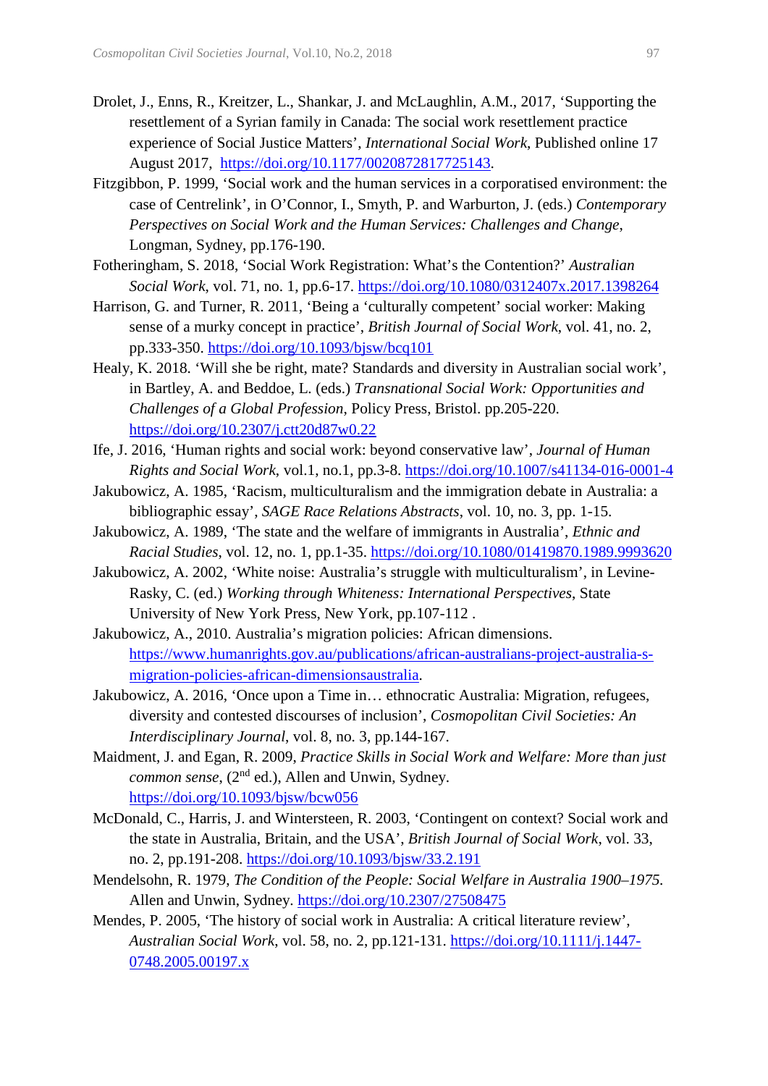- Drolet, J., Enns, R., Kreitzer, L., Shankar, J. and McLaughlin, A.M., 2017, 'Supporting the resettlement of a Syrian family in Canada: The social work resettlement practice experience of Social Justice Matters', *International Social Work*, Published online 17 August 2017, [https://doi.org/10.1177/0020872817725143.](https://doi.org/10.1177/0020872817725143)
- Fitzgibbon, P. 1999, 'Social work and the human services in a corporatised environment: the case of Centrelink', in O'Connor, I., Smyth, P. and Warburton, J. (eds.) *Contemporary Perspectives on Social Work and the Human Services: Challenges and Change*, Longman, Sydney, pp.176-190.
- Fotheringham, S. 2018, 'Social Work Registration: What's the Contention?' *Australian Social Work*, vol. 71, no. 1, pp.6-17. <https://doi.org/10.1080/0312407x.2017.1398264>
- Harrison, G. and Turner, R. 2011, 'Being a 'culturally competent' social worker: Making sense of a murky concept in practice', *British Journal of Social Work*, vol. 41, no. 2, pp.333-350. <https://doi.org/10.1093/bjsw/bcq101>
- Healy, K. 2018. 'Will she be right, mate? Standards and diversity in Australian social work', in Bartley, A. and Beddoe, L. (eds.) *Transnational Social Work: Opportunities and Challenges of a Global Profession*, Policy Press, Bristol. pp.205-220. <https://doi.org/10.2307/j.ctt20d87w0.22>
- Ife, J. 2016, 'Human rights and social work: beyond conservative law', *Journal of Human Rights and Social Work*, vol.1, no.1, pp.3-8. <https://doi.org/10.1007/s41134-016-0001-4>
- Jakubowicz, A. 1985, 'Racism, multiculturalism and the immigration debate in Australia: a bibliographic essay', *SAGE Race Relations Abstracts*, vol. 10, no. 3, pp. 1-15.
- Jakubowicz, A. 1989, 'The state and the welfare of immigrants in Australia', *Ethnic and Racial Studies*, vol. 12, no. 1, pp.1-35. <https://doi.org/10.1080/01419870.1989.9993620>
- Jakubowicz, A. 2002, 'White noise: Australia's struggle with multiculturalism', in Levine-Rasky, C. (ed.) *Working through Whiteness: International Perspectives*, State University of New York Press, New York, pp.107-112 .
- Jakubowicz, A., 2010. Australia's migration policies: African dimensions. [https://www.humanrights.gov.au/publications/african-australians-project-australia-s](https://www.humanrights.gov.au/publications/african-australians-project-australia-s-migration-policies-african-dimensionsaustralia)[migration-policies-african-dimensionsaustralia.](https://www.humanrights.gov.au/publications/african-australians-project-australia-s-migration-policies-african-dimensionsaustralia)
- Jakubowicz, A. 2016, 'Once upon a Time in… ethnocratic Australia: Migration, refugees, diversity and contested discourses of inclusion', *Cosmopolitan Civil Societies: An Interdisciplinary Journal*, vol. 8, no. 3, pp.144-167.
- Maidment, J. and Egan, R. 2009, *Practice Skills in Social Work and Welfare: More than just common sense*, (2<sup>nd</sup> ed.), Allen and Unwin, Sydney. <https://doi.org/10.1093/bjsw/bcw056>
- McDonald, C., Harris, J. and Wintersteen, R. 2003, 'Contingent on context? Social work and the state in Australia, Britain, and the USA', *British Journal of Social Work*, vol. 33, no. 2, pp.191-208. <https://doi.org/10.1093/bjsw/33.2.191>
- Mendelsohn, R. 1979, *The Condition of the People: Social Welfare in Australia 1900–1975.* Allen and Unwin, Sydney.<https://doi.org/10.2307/27508475>
- Mendes, P. 2005, 'The history of social work in Australia: A critical literature review', *Australian Social Work*, vol. 58, no. 2, pp.121-131. [https://doi.org/10.1111/j.1447-](https://doi.org/10.1111/j.1447-0748.2005.00197.x) [0748.2005.00197.x](https://doi.org/10.1111/j.1447-0748.2005.00197.x)